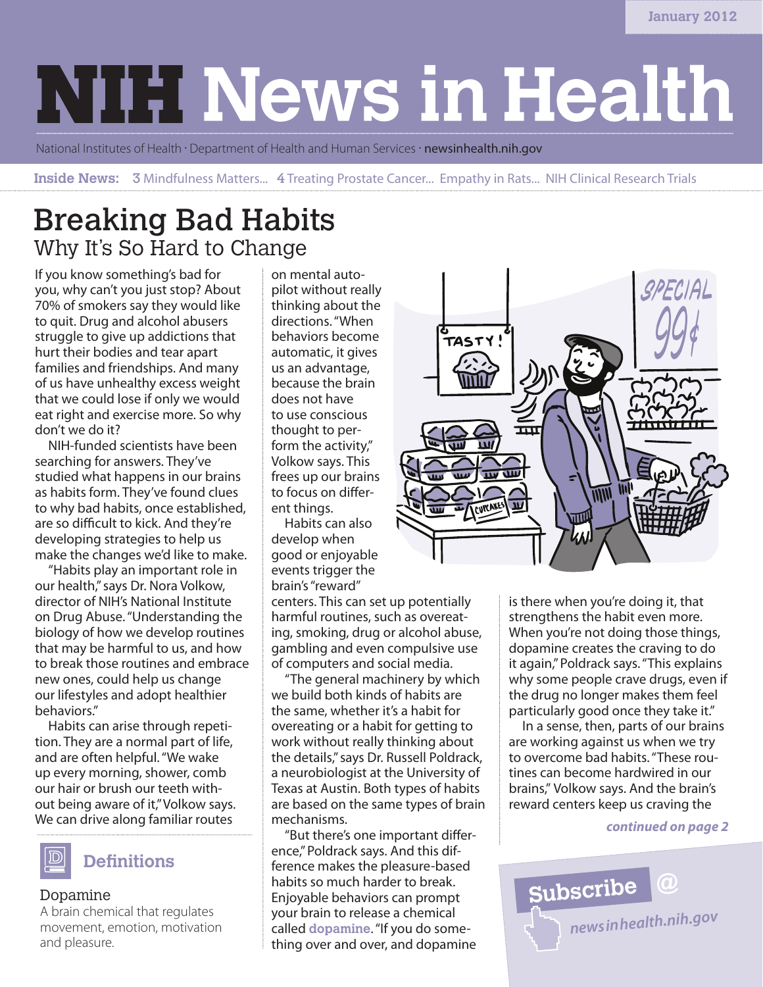# **NIH News in Health**

National Institutes of Health · Department of Health and Human Services · newsinhealth.nih.gov

**Inside News:** 3 Mindfulness Matters... 4 Treating Prostate Cancer... Empathy in Rats... NIH Clinical Research Trials

### Breaking Bad Habits Why It's So Hard to Change

If you know something's bad for you, why can't you just stop? About 70% of smokers say they would like to quit. Drug and alcohol abusers struggle to give up addictions that hurt their bodies and tear apart families and friendships. And many of us have unhealthy excess weight that we could lose if only we would eat right and exercise more. So why don't we do it?

NIH-funded scientists have been searching for answers. They've studied what happens in our brains as habits form. They've found clues to why bad habits, once established, are so difficult to kick. And they're developing strategies to help us make the changes we'd like to make.

"Habits play an important role in our health," says Dr. Nora Volkow, director of NIH's National Institute on Drug Abuse. "Understanding the biology of how we develop routines that may be harmful to us, and how to break those routines and embrace new ones, could help us change our lifestyles and adopt healthier behaviors."

Habits can arise through repetition. They are a normal part of life, and are often helpful. "We wake up every morning, shower, comb our hair or brush our teeth without being aware of it," Volkow says. We can drive along familiar routes



### Dopamine

A brain chemical that regulates movement, emotion, motivation and pleasure.

on mental autopilot without really thinking about the directions. "When behaviors become automatic, it gives us an advantage, because the brain does not have to use conscious thought to perform the activity," Volkow says. This frees up our brains to focus on different things.

Habits can also develop when good or enjoyable events trigger the brain's "reward"

centers. This can set up potentially harmful routines, such as overeating, smoking, drug or alcohol abuse, gambling and even compulsive use of computers and social media.

"The general machinery by which we build both kinds of habits are the same, whether it's a habit for overeating or a habit for getting to work without really thinking about the details," says Dr. Russell Poldrack, a neurobiologist at the University of Texas at Austin. Both types of habits are based on the same types of brain mechanisms.

"But there's one important difference," Poldrack says. And this difference makes the pleasure-based habits so much harder to break. Enjoyable behaviors can prompt your brain to release a chemical called **dopamine**. "If you do something over and over, and dopamine



is there when you're doing it, that strengthens the habit even more. When you're not doing those things, dopamine creates the craving to do it again," Poldrack says. "This explains why some people crave drugs, even if the drug no longer makes them feel particularly good once they take it."

In a sense, then, parts of our brains are working against us when we try to overcome bad habits. "These routines can become hardwired in our brains," Volkow says. And the brain's reward centers keep us craving the

### *continued on page 2*

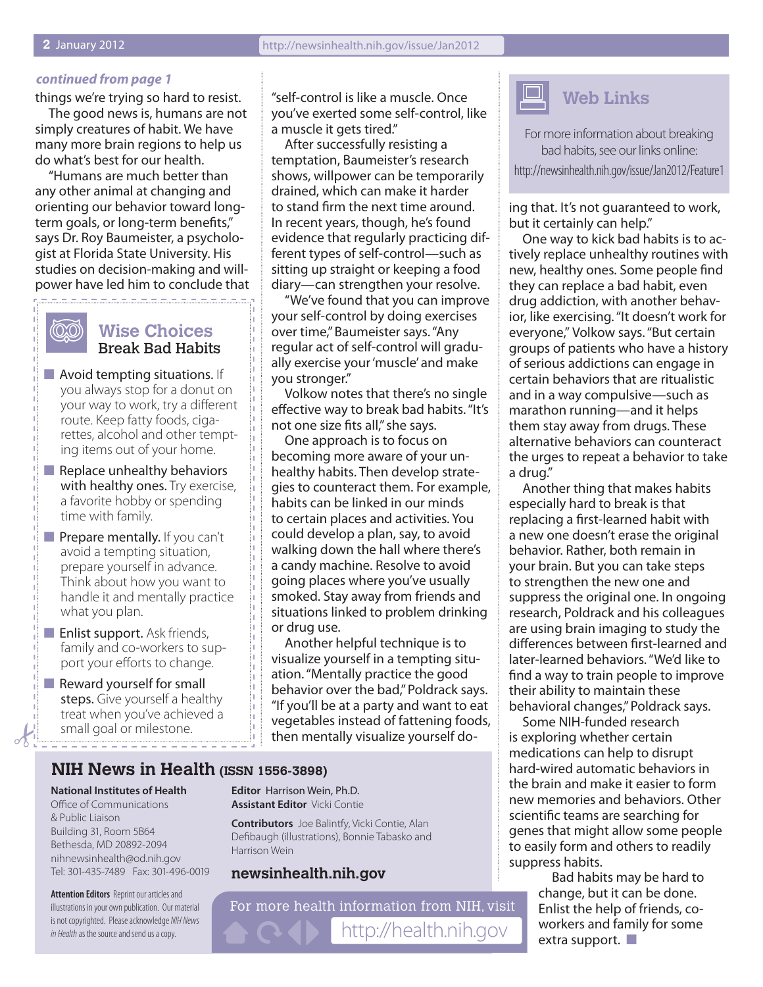#### *continued from page 1*

things we're trying so hard to resist. The good news is, humans are not simply creatures of habit. We have many more brain regions to help us do what's best for our health.

"Humans are much better than any other animal at changing and orienting our behavior toward longterm goals, or long-term benefits," says Dr. Roy Baumeister, a psychologist at Florida State University. His studies on decision-making and willpower have led him to conclude that

 $\label{eq:2.1} \begin{array}{l} \mathcal{L}_{\mathcal{A}} \left( \mathcal{L}_{\mathcal{A}} \right) = \mathcal{L}_{\mathcal{A}} \left( \mathcal{L}_{\mathcal{A}} \right) = \mathcal{L}_{\mathcal{A}} \left( \mathcal{L}_{\mathcal{A}} \right) \end{array}$ 

# ത്ത

### **Wise Choices** Break Bad Habits

- $\blacksquare$  Avoid tempting situations. If you always stop for a donut on your way to work, try a different route. Keep fatty foods, cigarettes, alcohol and other tempting items out of your home.
- $\blacksquare$  Replace unhealthy behaviors with healthy ones. Try exercise, a favorite hobby or spending time with family.
- $\blacksquare$  Prepare mentally. If you can't avoid a tempting situation, prepare yourself in advance. Think about how you want to handle it and mentally practice what you plan.
- $\blacksquare$  Enlist support. Ask friends, family and co-workers to support your efforts to change.
- $\blacksquare$  Reward yourself for small steps. Give yourself a healthy treat when you've achieved a small goal or milestone.

"self-control is like a muscle. Once you've exerted some self-control, like a muscle it gets tired."

After successfully resisting a temptation, Baumeister's research shows, willpower can be temporarily drained, which can make it harder to stand firm the next time around. In recent years, though, he's found evidence that regularly practicing different types of self-control—such as sitting up straight or keeping a food diary—can strengthen your resolve.

"We've found that you can improve your self-control by doing exercises over time," Baumeister says. "Any regular act of self-control will gradually exercise your 'muscle' and make you stronger."

Volkow notes that there's no single effective way to break bad habits. "It's not one size fits all," she says.

One approach is to focus on becoming more aware of your unhealthy habits. Then develop strategies to counteract them. For example, habits can be linked in our minds to certain places and activities. You could develop a plan, say, to avoid walking down the hall where there's a candy machine. Resolve to avoid going places where you've usually smoked. Stay away from friends and situations linked to problem drinking or drug use.

Another helpful technique is to visualize yourself in a tempting situation. "Mentally practice the good behavior over the bad," Poldrack says. "If you'll be at a party and want to eat vegetables instead of fattening foods, then mentally visualize yourself do-

### **NIH News in Health (ISSN 1556-3898)**

#### **National Institutes of Health**

Office of Communications & Public Liaison Building 31, Room 5B64 Bethesda, MD 20892-2094 nihnewsinhealth@od.nih.gov Tel: 301-435-7489 Fax: 301-496-0019

**Attention Editors** Reprint our articles and illustrations in your own publication. Our material is not copyrighted. Please acknowledge *NIH News in Health* as the source and send us a copy.

**Editor** Harrison Wein, Ph.D. **Assistant Editor** Vicki Contie

**Contributors** Joe Balintfy, Vicki Contie, Alan Defibaugh (illustrations), Bonnie Tabasko and Harrison Wein

### **newsinhealth.nih.gov**

For more health information from NIH, visit http://health.nih.gov



For more information about breaking bad habits, see our links online:

http://newsinhealth.nih.gov/issue/Jan2012/Feature1

ing that. It's not guaranteed to work, but it certainly can help."

One way to kick bad habits is to actively replace unhealthy routines with new, healthy ones. Some people find they can replace a bad habit, even drug addiction, with another behavior, like exercising. "It doesn't work for everyone," Volkow says. "But certain groups of patients who have a history of serious addictions can engage in certain behaviors that are ritualistic and in a way compulsive—such as marathon running—and it helps them stay away from drugs. These alternative behaviors can counteract the urges to repeat a behavior to take a drug."

Another thing that makes habits especially hard to break is that replacing a first-learned habit with a new one doesn't erase the original behavior. Rather, both remain in your brain. But you can take steps to strengthen the new one and suppress the original one. In ongoing research, Poldrack and his colleagues are using brain imaging to study the differences between first-learned and later-learned behaviors. "We'd like to find a way to train people to improve their ability to maintain these behavioral changes," Poldrack says.

Some NIH-funded research is exploring whether certain medications can help to disrupt hard-wired automatic behaviors in the brain and make it easier to form new memories and behaviors. Other scientific teams are searching for genes that might allow some people to easily form and others to readily suppress habits.

> Bad habits may be hard to change, but it can be done. Enlist the help of friends, coworkers and family for some extra support.  $\blacksquare$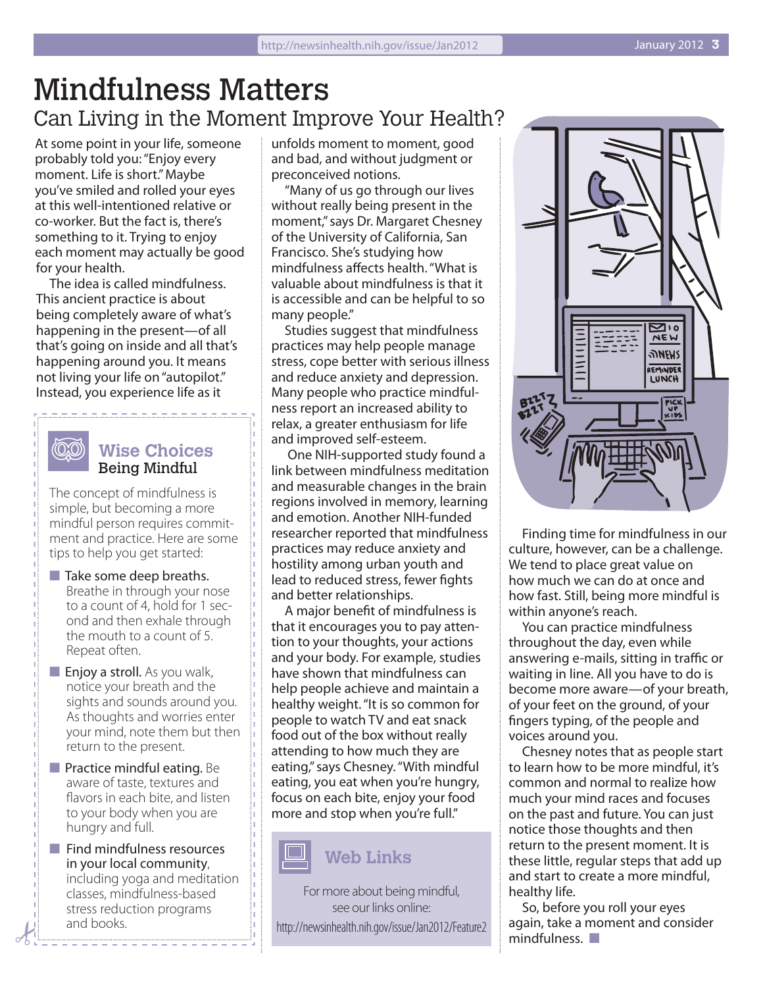## Mindfulness Matters Can Living in the Moment Improve Your Health?

At some point in your life, someone probably told you: "Enjoy every moment. Life is short." Maybe you've smiled and rolled your eyes at this well-intentioned relative or co-worker. But the fact is, there's something to it. Trying to enjoy each moment may actually be good for your health.

The idea is called mindfulness. This ancient practice is about being completely aware of what's happening in the present—of all that's going on inside and all that's happening around you. It means not living your life on "autopilot." Instead, you experience life as it

### **Wise Choices** Being Mindful

ത്ത

The concept of mindfulness is simple, but becoming a more mindful person requires commitment and practice. Here are some tips to help you get started:

- $\blacksquare$  Take some deep breaths. Breathe in through your nose to a count of 4, hold for 1 second and then exhale through the mouth to a count of 5. Repeat often.
- $\blacksquare$  Enjoy a stroll. As you walk, notice your breath and the sights and sounds around you. As thoughts and worries enter your mind, note them but then return to the present.
- $\blacksquare$  Practice mindful eating. Be aware of taste, textures and flavors in each bite, and listen to your body when you are hungry and full.
- $\blacksquare$  Find mindfulness resources in your local community, including yoga and meditation classes, mindfulness-based stress reduction programs and books.

unfolds moment to moment, good and bad, and without judgment or preconceived notions.

"Many of us go through our lives without really being present in the moment," says Dr. Margaret Chesney of the University of California, San Francisco. She's studying how mindfulness affects health. "What is valuable about mindfulness is that it is accessible and can be helpful to so many people."

Studies suggest that mindfulness practices may help people manage stress, cope better with serious illness and reduce anxiety and depression. Many people who practice mindfulness report an increased ability to relax, a greater enthusiasm for life and improved self-esteem.

 One NIH-supported study found a link between mindfulness meditation and measurable changes in the brain regions involved in memory, learning and emotion. Another NIH-funded researcher reported that mindfulness practices may reduce anxiety and hostility among urban youth and lead to reduced stress, fewer fights and better relationships.

A major benefit of mindfulness is that it encourages you to pay attention to your thoughts, your actions and your body. For example, studies have shown that mindfulness can help people achieve and maintain a healthy weight. "It is so common for people to watch TV and eat snack food out of the box without really attending to how much they are eating," says Chesney. "With mindful eating, you eat when you're hungry, focus on each bite, enjoy your food more and stop when you're full."



### **Web Links**

For more about being mindful, see our links online: http://newsinhealth.nih.gov/issue/Jan2012/Feature2



Finding time for mindfulness in our culture, however, can be a challenge. We tend to place great value on how much we can do at once and how fast. Still, being more mindful is within anyone's reach.

You can practice mindfulness throughout the day, even while answering e-mails, sitting in traffic or waiting in line. All you have to do is become more aware—of your breath, of your feet on the ground, of your fingers typing, of the people and voices around you.

Chesney notes that as people start to learn how to be more mindful, it's common and normal to realize how much your mind races and focuses on the past and future. You can just notice those thoughts and then return to the present moment. It is these little, regular steps that add up and start to create a more mindful, healthy life.

So, before you roll your eyes again, take a moment and consider  $mindfulness.$